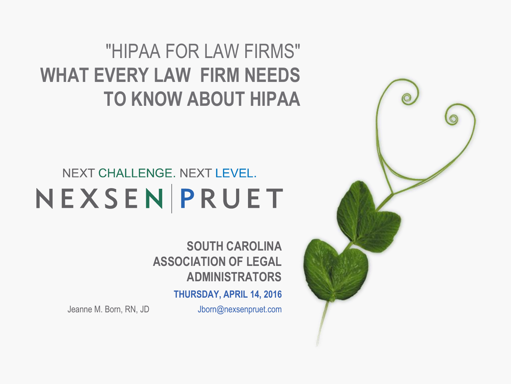### "HIPAA FOR LAW FIRMS" **WHAT EVERY LAW FIRM NEEDS TO KNOW ABOUT HIPAA**

### NEXT CHALLENGE. NEXT LEVEL. NEXSENPRUET

**SOUTH CAROLINA ASSOCIATION OF LEGAL ADMINISTRATORS**

**THURSDAY, APRIL 14, 2016**

Jeanne M. Born, RN, JD Jborn@nexsenpruet.com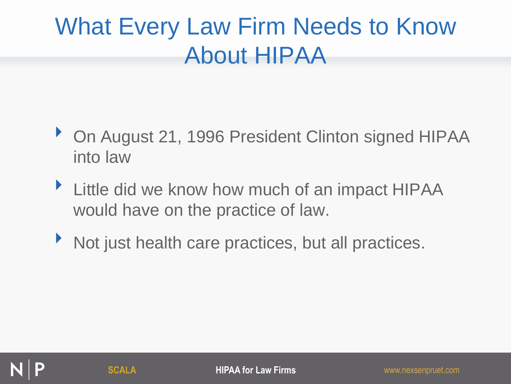### What Every Law Firm Needs to Know About HIPAA

- ▶ On August 21, 1996 President Clinton signed HIPAA into law
- If Little did we know how much of an impact HIPAA would have on the practice of law.
- ‣ Not just health care practices, but all practices.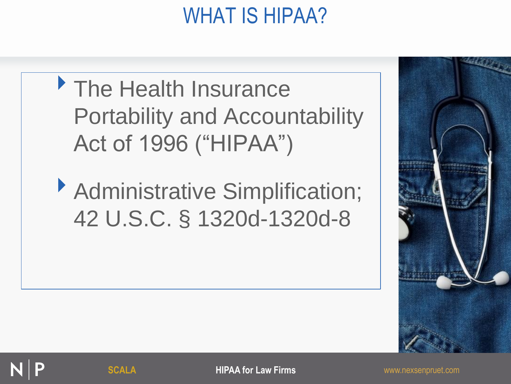### WHAT IS HIPAA?





**SCALA HIPAA for Law Firms WINDER AND MEAN FIRMS WWW.nexsenpruet.com**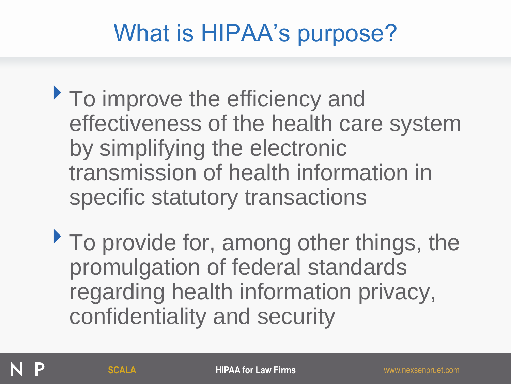### What is HIPAA's purpose?

- To improve the efficiency and effectiveness of the health care system by simplifying the electronic transmission of health information in specific statutory transactions
- $\triangleright$  To provide for, among other things, the promulgation of federal standards regarding health information privacy, confidentiality and security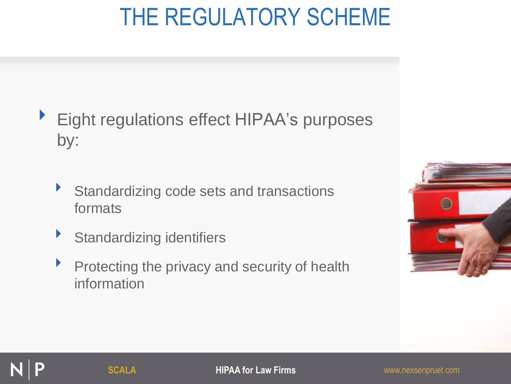### THE REGULATORY SCHEME

- ▶ Eight regulations effect HIPAA's purposes by:
	- Standardizing code sets and transactions formats
	- ‣ Standardizing identifiers
	- **Protecting the privacy and security of health** information

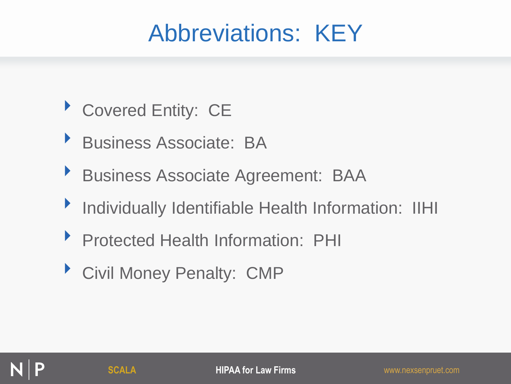### Abbreviations: KEY

- ▶ Covered Entity: CE
- ‣ Business Associate: BA
- ‣ Business Associate Agreement: BAA
- ‣ Individually Identifiable Health Information: IIHI
- ‣ Protected Health Information: PHI
- ‣ Civil Money Penalty: CMP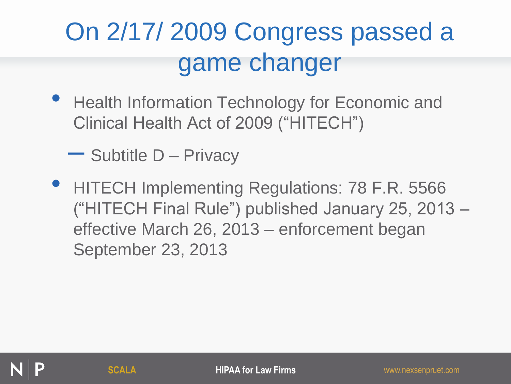# On 2/17/ 2009 Congress passed a game changer

• Health Information Technology for Economic and Clinical Health Act of 2009 ("HITECH")

– Subtitle D – Privacy

• HITECH Implementing Regulations: 78 F.R. 5566 ("HITECH Final Rule") published January 25, 2013 – effective March 26, 2013 – enforcement began September 23, 2013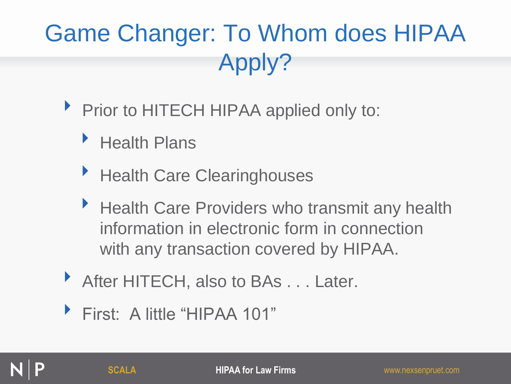# Game Changer: To Whom does HIPAA Apply?

- ▶ Prior to HITECH HIPAA applied only to:
	- ‣ Health Plans
	- **Health Care Clearinghouses**
	- ▶ Health Care Providers who transmit any health information in electronic form in connection with any transaction covered by HIPAA.
- ‣ After HITECH, also to BAs . . . Later.
- ‣ First: A little "HIPAA 101"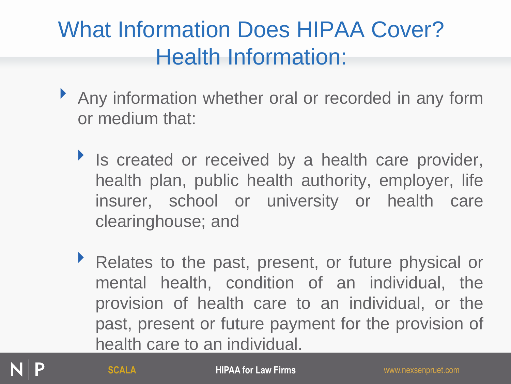### What Information Does HIPAA Cover? Health Information:

- ‣ Any information whether oral or recorded in any form or medium that:
	- Is created or received by a health care provider, health plan, public health authority, employer, life insurer, school or university or health care clearinghouse; and
	- ‣ Relates to the past, present, or future physical or mental health, condition of an individual, the provision of health care to an individual, or the past, present or future payment for the provision of health care to an individual.

**SCALA HIPAA for Law Firms** www.nexsenpruet.com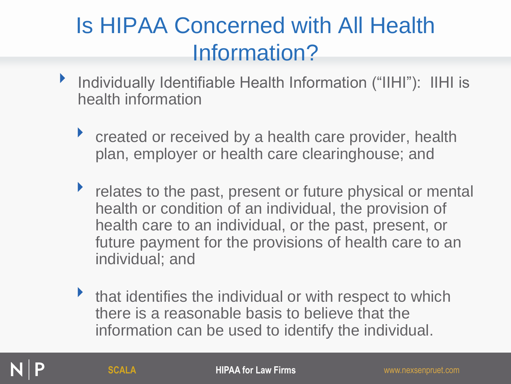### Is HIPAA Concerned with All Health Information?

- ‣ Individually Identifiable Health Information ("IIHI"): IIHI is health information
	- ▶ created or received by a health care provider, health plan, employer or health care clearinghouse; and
	- relates to the past, present or future physical or mental health or condition of an individual, the provision of health care to an individual, or the past, present, or future payment for the provisions of health care to an individual; and
	- If that identifies the individual or with respect to which there is a reasonable basis to believe that the information can be used to identify the individual.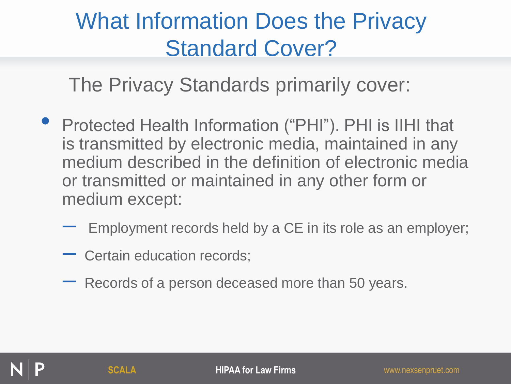### What Information Does the Privacy Standard Cover?

The Privacy Standards primarily cover:

- Protected Health Information ("PHI"). PHI is IIHI that is transmitted by electronic media, maintained in any medium described in the definition of electronic media or transmitted or maintained in any other form or medium except:
	- Employment records held by a CE in its role as an employer;
	- Certain education records;
	- Records of a person deceased more than 50 years.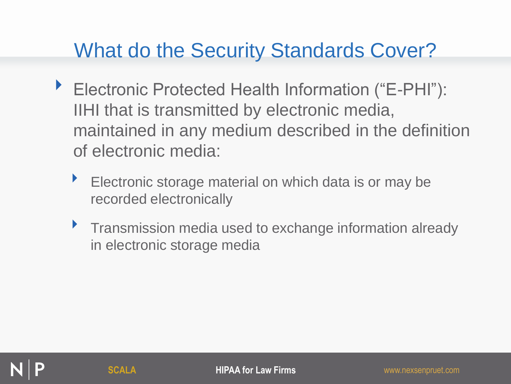### What do the Security Standards Cover?

- ▶ Electronic Protected Health Information ("E-PHI"): IIHI that is transmitted by electronic media, maintained in any medium described in the definition of electronic media:
	- Electronic storage material on which data is or may be recorded electronically
	- **Figure 1** Transmission media used to exchange information already in electronic storage media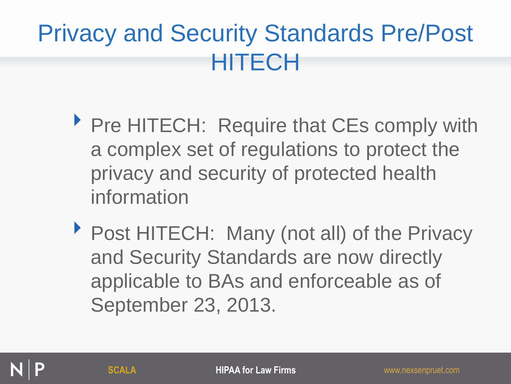## Privacy and Security Standards Pre/Post HITECH

- ▶ Pre HITECH: Require that CEs comply with a complex set of regulations to protect the privacy and security of protected health information
- ▶ Post HITECH: Many (not all) of the Privacy and Security Standards are now directly applicable to BAs and enforceable as of September 23, 2013.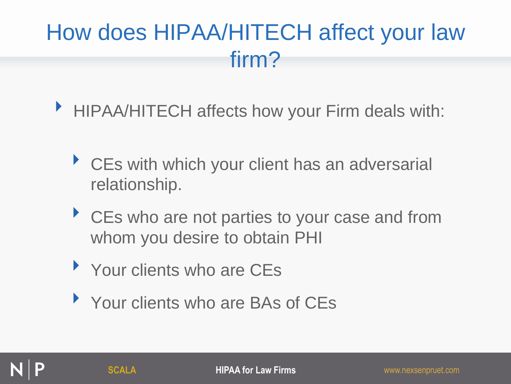### How does HIPAA/HITECH affect your law firm?

- ‣ HIPAA/HITECH affects how your Firm deals with:
	- ▶ CEs with which your client has an adversarial relationship.
	- ▶ CEs who are not parties to your case and from whom you desire to obtain PHI
	- Your clients who are CEs
	- ▶ Your clients who are BAs of CEs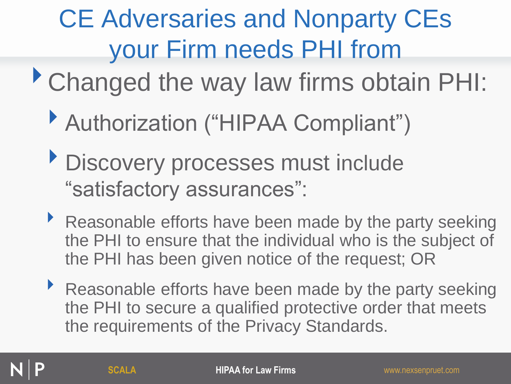# CE Adversaries and Nonparty CEs your Firm needs PHI from

- ‣Changed the way law firms obtain PHI:
	- ▶ Authorization ("HIPAA Compliant")
	- **Discovery processes must include** "satisfactory assurances":
	- ‣ Reasonable efforts have been made by the party seeking the PHI to ensure that the individual who is the subject of the PHI has been given notice of the request; OR
	- ‣ Reasonable efforts have been made by the party seeking the PHI to secure a qualified protective order that meets the requirements of the Privacy Standards.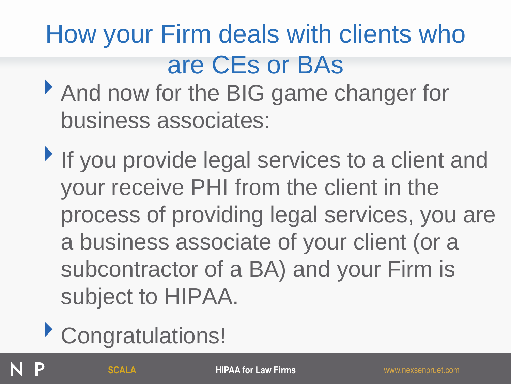# How your Firm deals with clients who are CEs or BAs

- And now for the BIG game changer for business associates:
- If you provide legal services to a client and your receive PHI from the client in the process of providing legal services, you are a business associate of your client (or a subcontractor of a BA) and your Firm is subject to HIPAA.
- ‣Congratulations!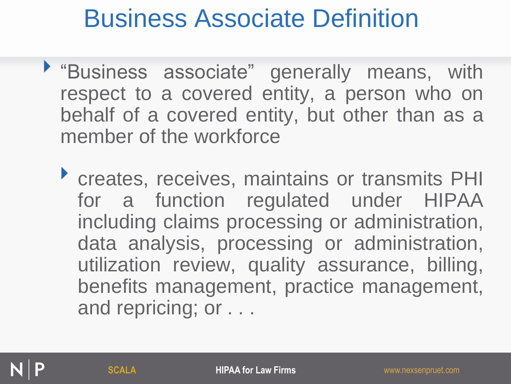## Business Associate Definition

- ‣ "Business associate" generally means, with respect to a covered entity, a person who on behalf of a covered entity, but other than as a member of the workforce
	- ‣ creates, receives, maintains or transmits PHI for a function regulated under HIPAA including claims processing or administration, data analysis, processing or administration, utilization review, quality assurance, billing, benefits management, practice management, and repricing; or . . .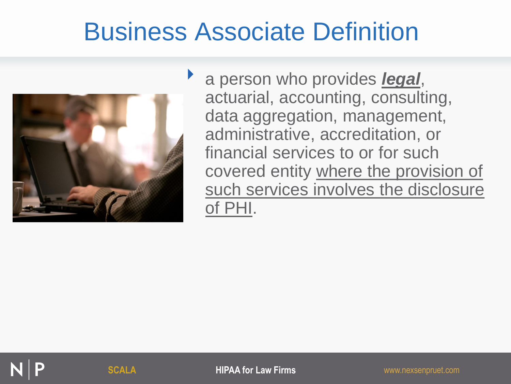## Business Associate Definition



a person who provides *legal*, actuarial, accounting, consulting, data aggregation, management, administrative, accreditation, or financial services to or for such covered entity where the provision of such services involves the disclosure of PHI.

**SCALA HIPAA for Law Firms WINDER AND MANUSCALA WINDERS AND MANUSCALA**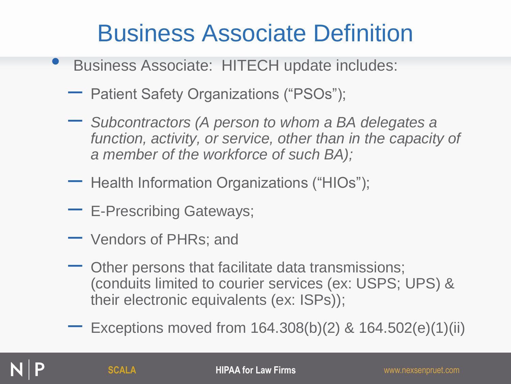### Business Associate Definition

- Business Associate: HITECH update includes:
	- Patient Safety Organizations ("PSOs");
	- *Subcontractors (A person to whom a BA delegates a*  function, activity, or service, other than in the capacity of *a member of the workforce of such BA);*
	- Health Information Organizations ("HIOs");
	- E-Prescribing Gateways;
	- Vendors of PHRs; and
	- Other persons that facilitate data transmissions; (conduits limited to courier services (ex: USPS; UPS) & their electronic equivalents (ex: ISPs));
	- Exceptions moved from 164.308(b)(2) & 164.502(e)(1)(ii)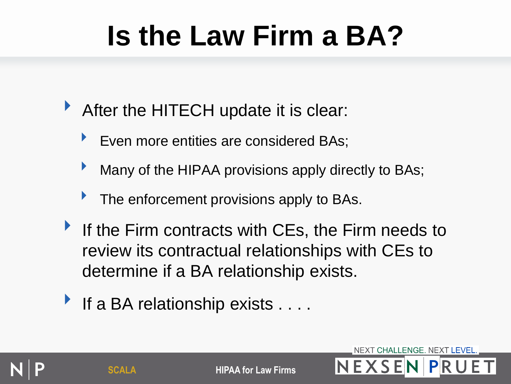# **Is the Law Firm a BA?**

- ‣ After the HITECH update it is clear:
	- Even more entities are considered BAs;
	- Many of the HIPAA provisions apply directly to BAs;
	- The enforcement provisions apply to BAs.
- If the Firm contracts with CEs, the Firm needs to review its contractual relationships with CEs to determine if a BA relationship exists.
- If a BA relationship exists . . . .

**SCALA HIPAA for Law Firms**  $N$  **E**  $X$  **S E**  $N$  | **P**  $R$ 

NEXT CHALLENGE. NEXT LEVEL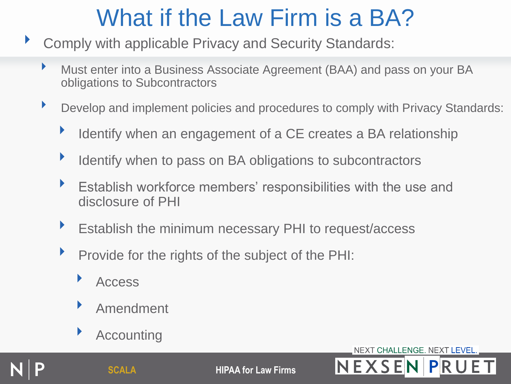- ‣ Comply with applicable Privacy and Security Standards:
	- ‣ Must enter into a Business Associate Agreement (BAA) and pass on your BA obligations to Subcontractors
	- ▶ Develop and implement policies and procedures to comply with Privacy Standards:
		- ‣ Identify when an engagement of a CE creates a BA relationship
		- **IDED** Identify when to pass on BA obligations to subcontractors
		- ‣ Establish workforce members' responsibilities with the use and disclosure of PHI
		- **Establish the minimum necessary PHI to request/access**
		- Provide for the rights of the subject of the PHI:
			- ‣ Access
			- ‣ Amendment
			- **Accounting**

**SCALA HIPAA for Law Firms NEXSEN PRU** 

NEXT CHALLENGE. NEXT LEVEL.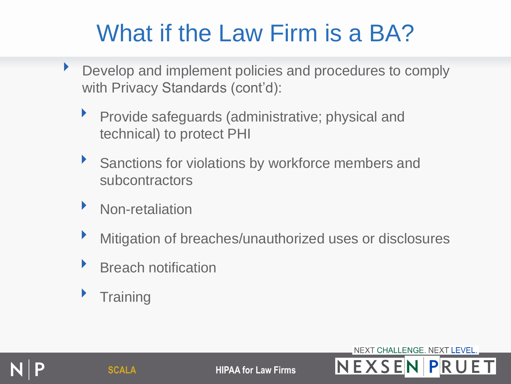- Develop and implement policies and procedures to comply with Privacy Standards (cont'd):
	- ‣ Provide safeguards (administrative; physical and technical) to protect PHI
	- Sanctions for violations by workforce members and subcontractors
	- ‣ Non-retaliation
	- ‣ Mitigation of breaches/unauthorized uses or disclosures
	- ‣ Breach notification
	- **Training**



**SCALA HIPAA for Law Firms NEXSENPRU** 

NEXT CHALLENGE. NEXT LEVEL.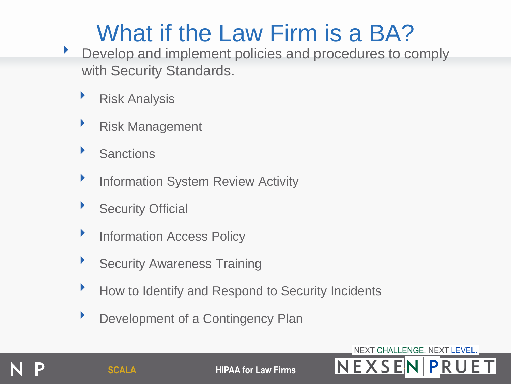- **Develop and implement policies and procedures to comply** with Security Standards.
	- ‣ Risk Analysis
	- ‣ Risk Management
	- ‣ Sanctions
	- **Information System Review Activity**
	- **Security Official**
	- **Information Access Policy**
	- **Security Awareness Training**
	- ‣ How to Identify and Respond to Security Incidents
	- **Development of a Contingency Plan**

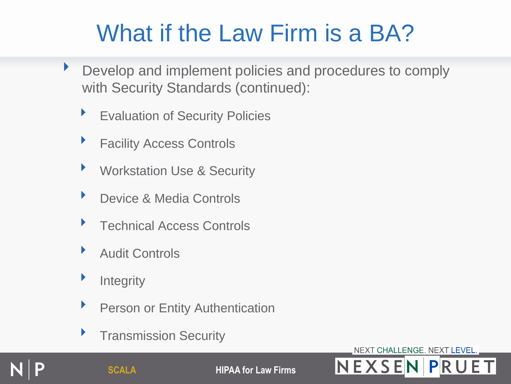- **Develop and implement policies and procedures to comply** with Security Standards (continued):
	- **Evaluation of Security Policies**
	- **Facility Access Controls**
	- ▶ Workstation Use & Security
	- ▶ Device & Media Controls
	- ‣ Technical Access Controls
	- ‣ Audit Controls
	- **Exercise 1** Integrity
	- **Person or Entity Authentication**
	- ‣ Transmission Security

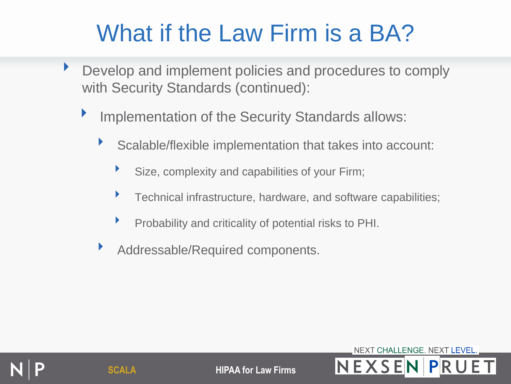- Develop and implement policies and procedures to comply with Security Standards (continued):
	- **Implementation of the Security Standards allows:** 
		- ‣ Scalable/flexible implementation that takes into account:
			- Size, complexity and capabilities of your Firm;
			- ‣ Technical infrastructure, hardware, and software capabilities;
			- ‣ Probability and criticality of potential risks to PHI.
		- ‣ Addressable/Required components.

NEXT CHALLENGE. NEXT LEVEL. **SCALA HIPAA for Law Firms**  $N EXSEN$   $PRU$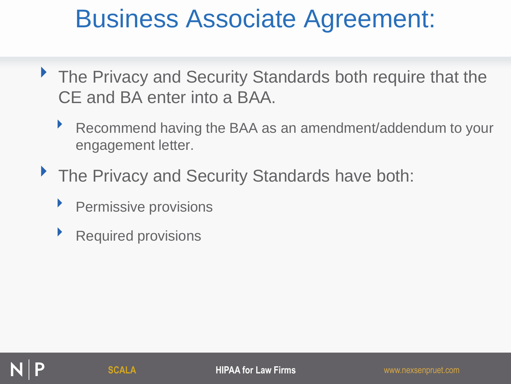## Business Associate Agreement:

- ▶ The Privacy and Security Standards both require that the CE and BA enter into a BAA.
	- ‣ Recommend having the BAA as an amendment/addendum to your engagement letter.
- The Privacy and Security Standards have both:
	- Permissive provisions
	- ‣ Required provisions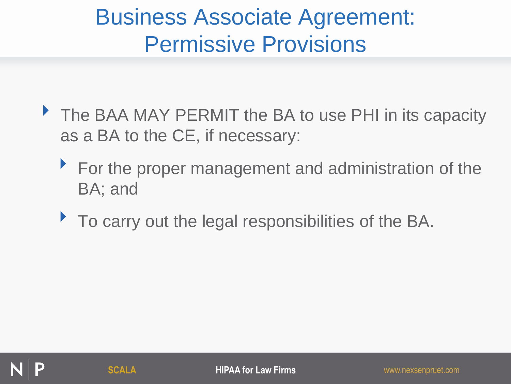### Business Associate Agreement: Permissive Provisions

- The BAA MAY PERMIT the BA to use PHI in its capacity as a BA to the CE, if necessary:
	- ▶ For the proper management and administration of the BA; and
	- ‣ To carry out the legal responsibilities of the BA.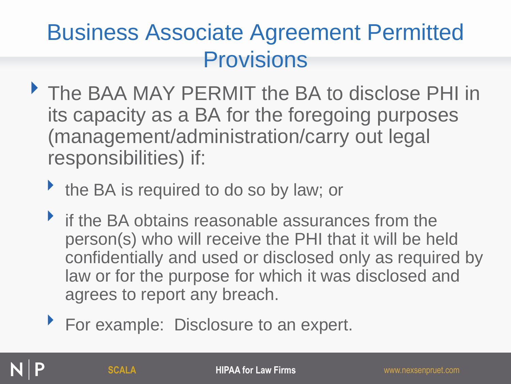### Business Associate Agreement Permitted Provisions

- ‣ The BAA MAY PERMIT the BA to disclose PHI in its capacity as a BA for the foregoing purposes (management/administration/carry out legal responsibilities) if:
	- If the BA is required to do so by law; or
	- If the BA obtains reasonable assurances from the person(s) who will receive the PHI that it will be held confidentially and used or disclosed only as required by law or for the purpose for which it was disclosed and agrees to report any breach.
	- ▶ For example: Disclosure to an expert.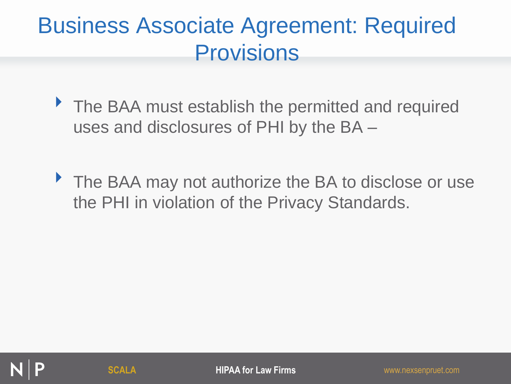- ▶ The BAA must establish the permitted and required uses and disclosures of PHI by the BA –
- ▶ The BAA may not authorize the BA to disclose or use the PHI in violation of the Privacy Standards.

**SCALA HIPAA for Law Firms** www.nexsenpruet.com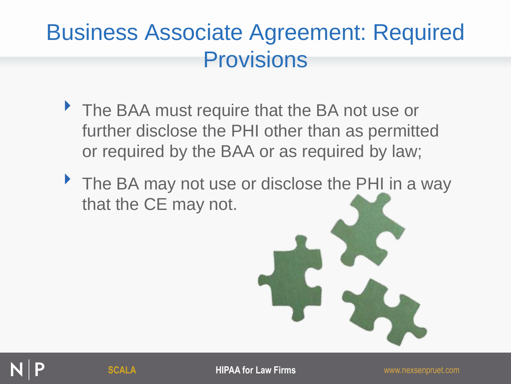- ▶ The BAA must require that the BA not use or further disclose the PHI other than as permitted or required by the BAA or as required by law;
- ▶ The BA may not use or disclose the PHI in a way that the CE may not.

**SCALA HIPAA for Law Firms WINDER AND THE WARDER WAS EXAMPLE AND THE WARDER OF SCALA**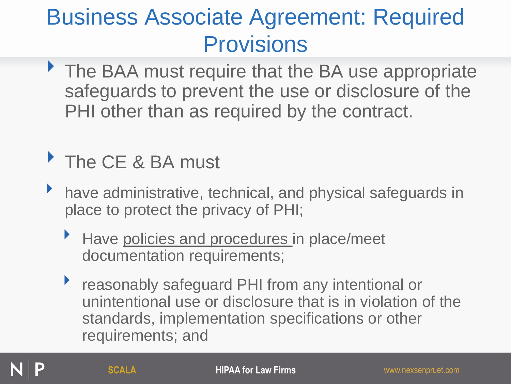▶ The BAA must require that the BA use appropriate safeguards to prevent the use or disclosure of the PHI other than as required by the contract.

### The CE & BA must

- have administrative, technical, and physical safeguards in place to protect the privacy of PHI;
	- Have policies and procedures in place/meet documentation requirements;
	- ▶ reasonably safeguard PHI from any intentional or unintentional use or disclosure that is in violation of the standards, implementation specifications or other requirements; and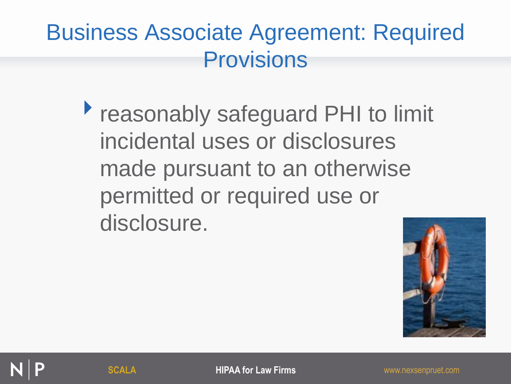**Peasonably safeguard PHI to limit** incidental uses or disclosures made pursuant to an otherwise permitted or required use or disclosure.



**SCALA HIPAA for Law Firms WINDER AND MANUSCALA WINDERS AND MANUSCALA**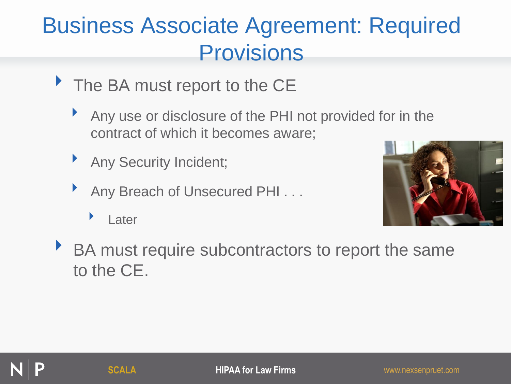- The BA must report to the CE
	- Any use or disclosure of the PHI not provided for in the contract of which it becomes aware;
	- ‣ Any Security Incident;
	- Any Breach of Unsecured PHI . . .
		- ‣ Later



‣ BA must require subcontractors to report the same to the CE.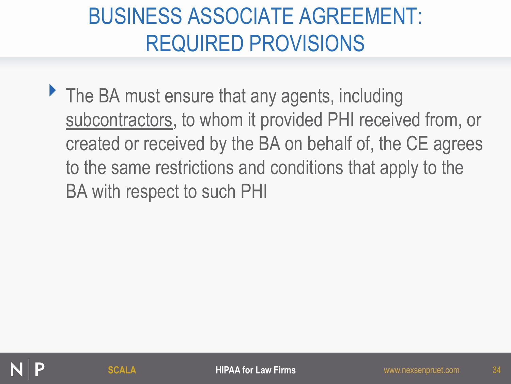### BUSINESS ASSOCIATE AGREEMENT: REQUIRED PROVISIONS

• The BA must ensure that any agents, including subcontractors, to whom it provided PHI received from, or created or received by the BA on behalf of, the CE agrees to the same restrictions and conditions that apply to the BA with respect to such PHI

34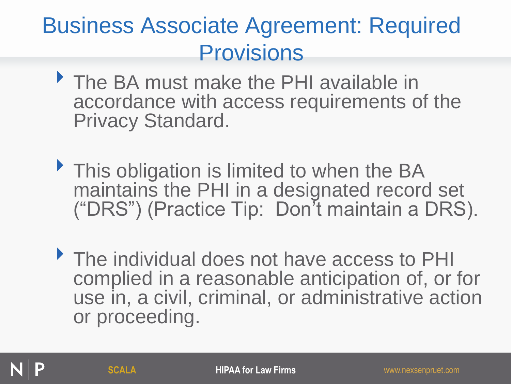- ‣ The BA must make the PHI available in accordance with access requirements of the Privacy Standard.
- **This obligation is limited to when the BA** maintains the PHI in a designated record set ("DRS") (Practice Tip: Don't maintain a DRS).
- ‣ The individual does not have access to PHI complied in a reasonable anticipation of, or for use in, a civil, criminal, or administrative action or proceeding.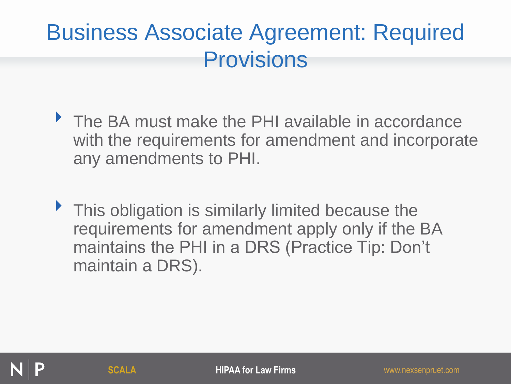- ▶ The BA must make the PHI available in accordance with the requirements for amendment and incorporate any amendments to PHI.
- ▶ This obligation is similarly limited because the requirements for amendment apply only if the BA maintains the PHI in a DRS (Practice Tip: Don't maintain a DRS).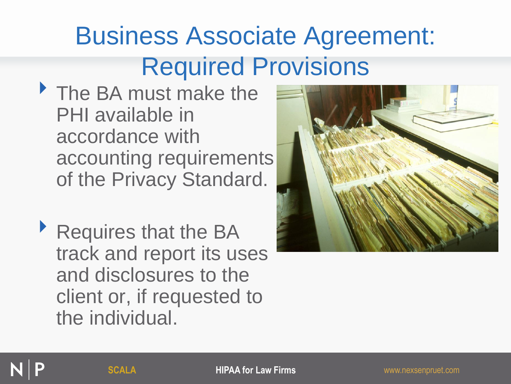- ‣ The BA must make the PHI available in accordance with accounting requirements of the Privacy Standard.
- ‣ Requires that the BA track and report its uses and disclosures to the client or, if requested to the individual.

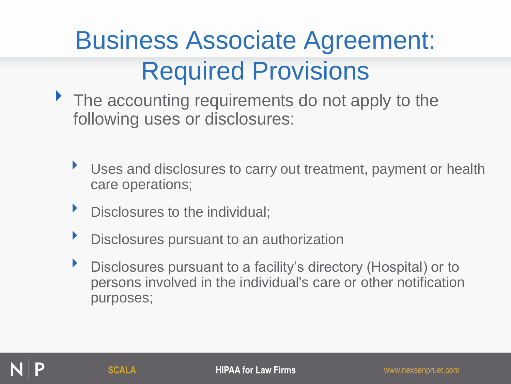- The accounting requirements do not apply to the following uses or disclosures:
	- Uses and disclosures to carry out treatment, payment or health care operations;
	- **Disclosures to the individual;**
	- **EXEC** Disclosures pursuant to an authorization
	- ‣ Disclosures pursuant to a facility's directory (Hospital) or to persons involved in the individual's care or other notification purposes;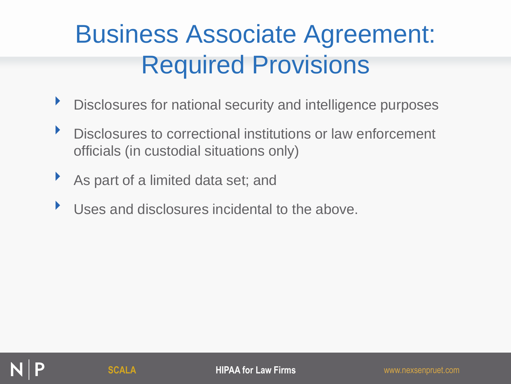- ‣ Disclosures for national security and intelligence purposes
- ‣ Disclosures to correctional institutions or law enforcement officials (in custodial situations only)
- As part of a limited data set; and
- Uses and disclosures incidental to the above.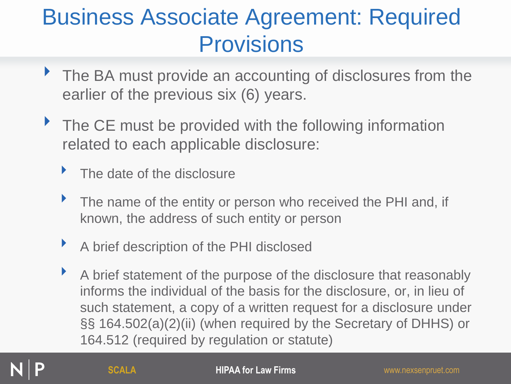- ▶ The BA must provide an accounting of disclosures from the earlier of the previous six (6) years.
- ▶ The CE must be provided with the following information related to each applicable disclosure:
	- The date of the disclosure
	- The name of the entity or person who received the PHI and, if known, the address of such entity or person
	- ‣ A brief description of the PHI disclosed
	- ‣ A brief statement of the purpose of the disclosure that reasonably informs the individual of the basis for the disclosure, or, in lieu of such statement, a copy of a written request for a disclosure under §§ 164.502(a)(2)(ii) (when required by the Secretary of DHHS) or 164.512 (required by regulation or statute)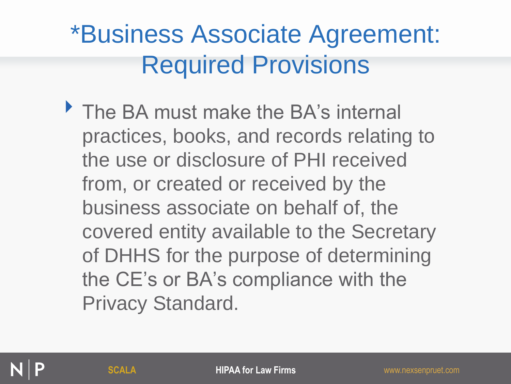The BA must make the BA's internal practices, books, and records relating to the use or disclosure of PHI received from, or created or received by the business associate on behalf of, the covered entity available to the Secretary of DHHS for the purpose of determining the CE's or BA's compliance with the Privacy Standard.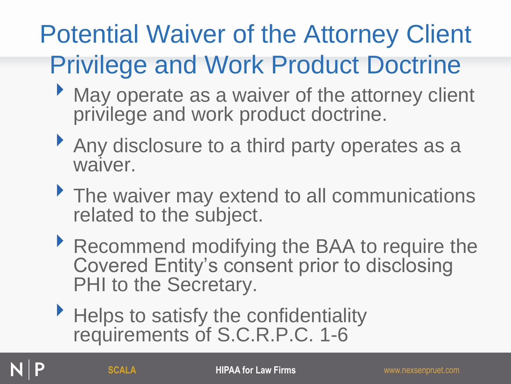# Potential Waiver of the Attorney Client Privilege and Work Product Doctrine

- May operate as a waiver of the attorney client privilege and work product doctrine.
- Any disclosure to a third party operates as a waiver.
- The waiver may extend to all communications related to the subject.
- ▶ Recommend modifying the BAA to require the Covered Entity's consent prior to disclosing PHI to the Secretary.
- Helps to satisfy the confidentiality requirements of S.C.R.P.C. 1-6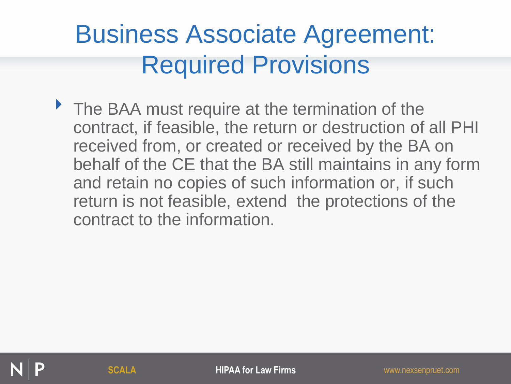▶ The BAA must require at the termination of the contract, if feasible, the return or destruction of all PHI received from, or created or received by the BA on behalf of the CE that the BA still maintains in any form and retain no copies of such information or, if such return is not feasible, extend the protections of the contract to the information.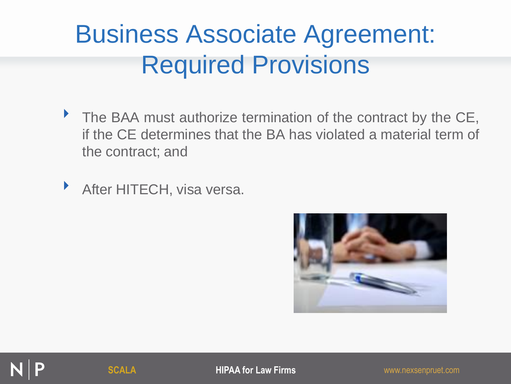• The BAA must authorize termination of the contract by the CE, if the CE determines that the BA has violated a material term of the contract; and

**After HITECH, visa versa.** 



**SCALA HIPAA for Law Firms** www.nexsenpruet.com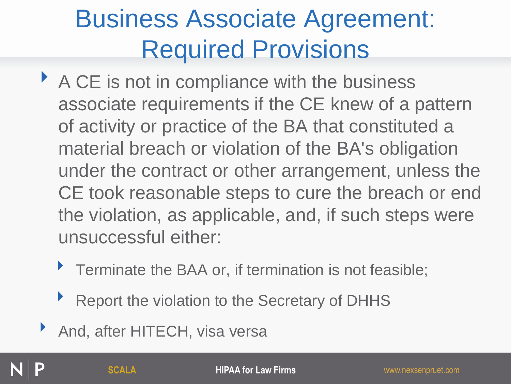- A CE is not in compliance with the business associate requirements if the CE knew of a pattern of activity or practice of the BA that constituted a material breach or violation of the BA's obligation under the contract or other arrangement, unless the CE took reasonable steps to cure the breach or end the violation, as applicable, and, if such steps were unsuccessful either:
	- ▶ Terminate the BAA or, if termination is not feasible;
	- ‣ Report the violation to the Secretary of DHHS
- And, after HITECH, visa versa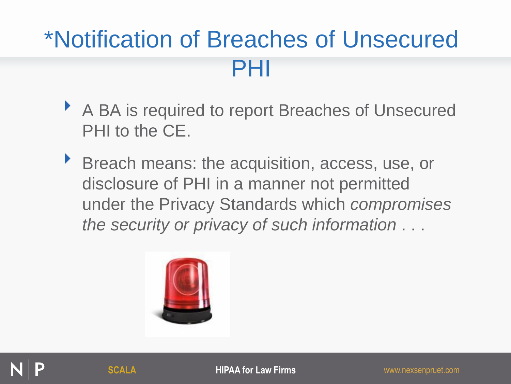#### \*Notification of Breaches of Unsecured PHI

- ▶ A BA is required to report Breaches of Unsecured PHI to the CE.
- ‣ Breach means: the acquisition, access, use, or disclosure of PHI in a manner not permitted under the Privacy Standards which *compromises the security or privacy of such information* . . .



**SCALA HIPAA for Law Firms** www.nexsenpruet.com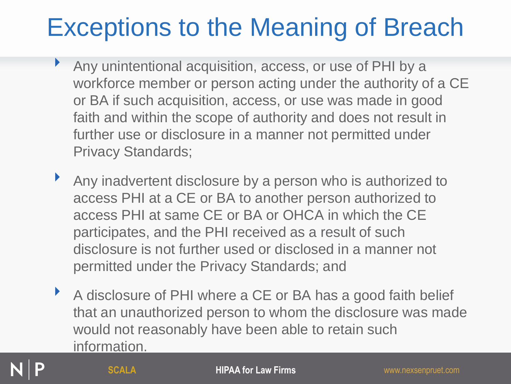### Exceptions to the Meaning of Breach

- ‣ Any unintentional acquisition, access, or use of PHI by a workforce member or person acting under the authority of a CE or BA if such acquisition, access, or use was made in good faith and within the scope of authority and does not result in further use or disclosure in a manner not permitted under Privacy Standards;
- ‣ Any inadvertent disclosure by a person who is authorized to access PHI at a CE or BA to another person authorized to access PHI at same CE or BA or OHCA in which the CE participates, and the PHI received as a result of such disclosure is not further used or disclosed in a manner not permitted under the Privacy Standards; and
- A disclosure of PHI where a CE or BA has a good faith belief that an unauthorized person to whom the disclosure was made would not reasonably have been able to retain such information.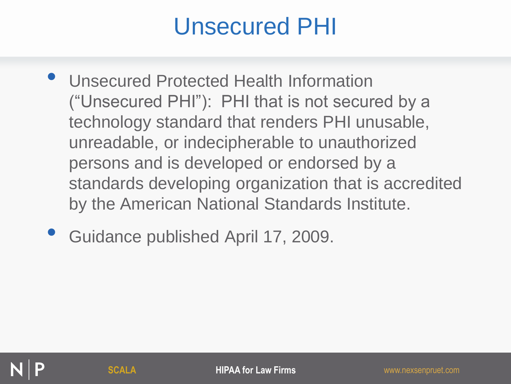#### Unsecured PHI

- Unsecured Protected Health Information ("Unsecured PHI"): PHI that is not secured by a technology standard that renders PHI unusable, unreadable, or indecipherable to unauthorized persons and is developed or endorsed by a standards developing organization that is accredited by the American National Standards Institute.
- Guidance published April 17, 2009.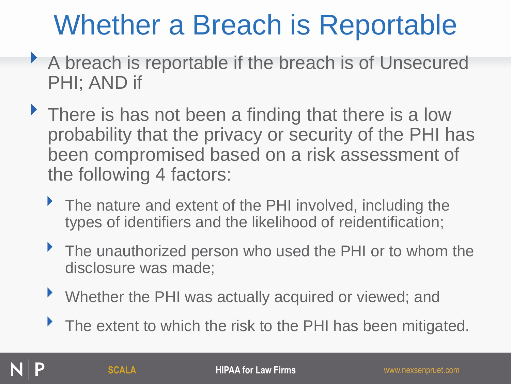# Whether a Breach is Reportable

- ‣ A breach is reportable if the breach is of Unsecured PHI; AND if
- There is has not been a finding that there is a low probability that the privacy or security of the PHI has been compromised based on a risk assessment of the following 4 factors:
	- The nature and extent of the PHI involved, including the types of identifiers and the likelihood of reidentification;
	- ‣ The unauthorized person who used the PHI or to whom the disclosure was made;
	- ‣ Whether the PHI was actually acquired or viewed; and
	- The extent to which the risk to the PHI has been mitigated.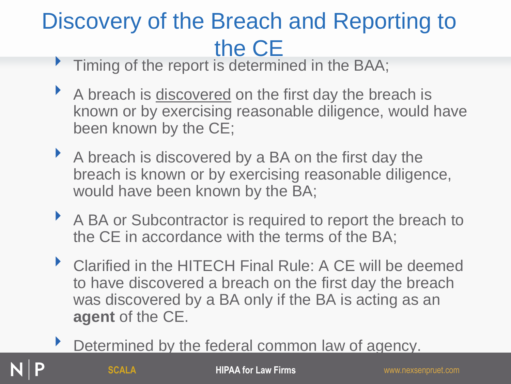# Discovery of the Breach and Reporting to **the CE**<br>Timing of the report is determined in the BAA;

- 
- A breach is discovered on the first day the breach is known or by exercising reasonable diligence, would have been known by the CE;
- A breach is discovered by a BA on the first day the breach is known or by exercising reasonable diligence, would have been known by the BA;
- A BA or Subcontractor is required to report the breach to the CE in accordance with the terms of the BA;
- ▶ Clarified in the HITECH Final Rule: A CE will be deemed to have discovered a breach on the first day the breach was discovered by a BA only if the BA is acting as an **agent** of the CE.
	- Determined by the federal common law of agency.

**SCALA HIPAA for Law Firms** www.nexsenpruet.com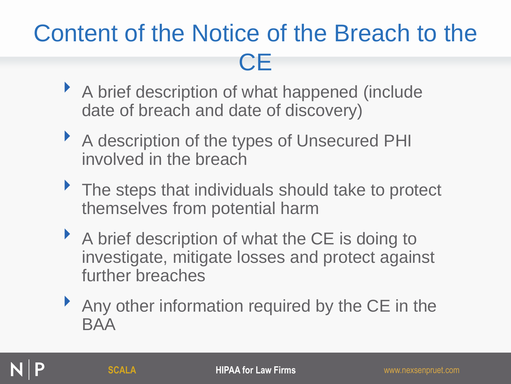### Content of the Notice of the Breach to the **CE**

- ‣ A brief description of what happened (include date of breach and date of discovery)
- ‣ A description of the types of Unsecured PHI involved in the breach
- ▶ The steps that individuals should take to protect themselves from potential harm
- A brief description of what the CE is doing to investigate, mitigate losses and protect against further breaches
- ▶ Any other information required by the CE in the BAA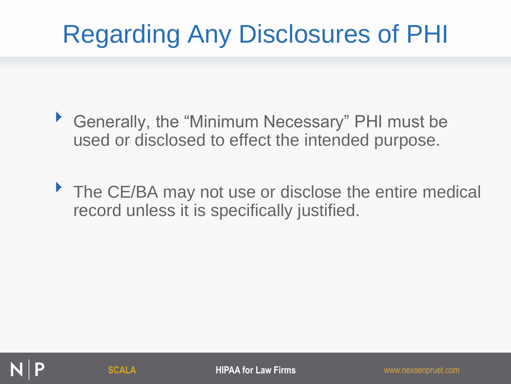## Regarding Any Disclosures of PHI

- ‣ Generally, the "Minimum Necessary" PHI must be used or disclosed to effect the intended purpose.
- ▶ The CE/BA may not use or disclose the entire medical record unless it is specifically justified.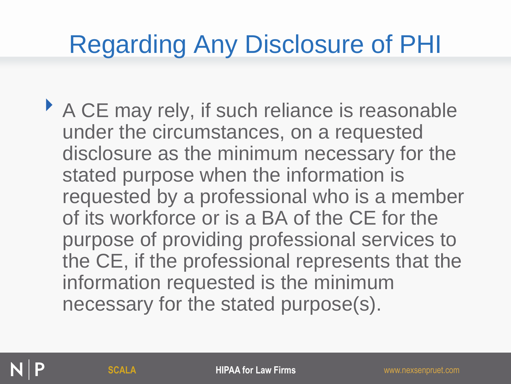## Regarding Any Disclosure of PHI

‣ A CE may rely, if such reliance is reasonable under the circumstances, on a requested disclosure as the minimum necessary for the stated purpose when the information is requested by a professional who is a member of its workforce or is a BA of the CE for the purpose of providing professional services to the CE, if the professional represents that the information requested is the minimum necessary for the stated purpose(s).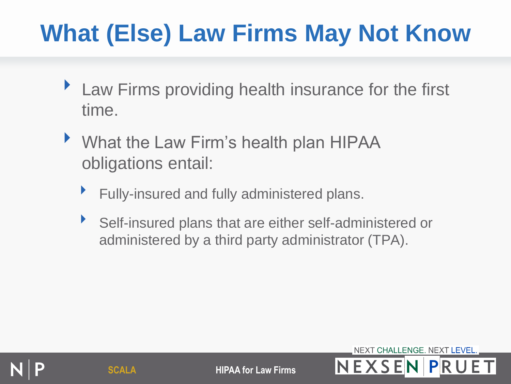## **What (Else) Law Firms May Not Know**

- ▶ Law Firms providing health insurance for the first time.
- ‣ What the Law Firm's health plan HIPAA obligations entail:
	- ‣ Fully-insured and fully administered plans.
	- Self-insured plans that are either self-administered or administered by a third party administrator (TPA).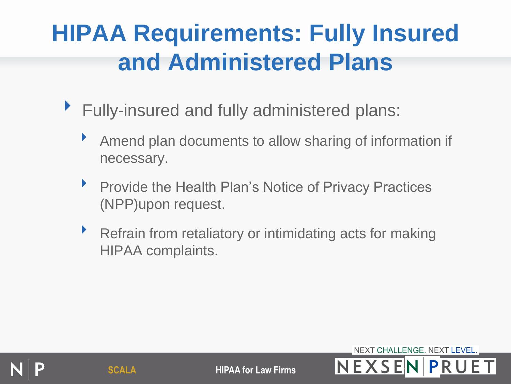### **HIPAA Requirements: Fully Insured and Administered Plans**

- ▶ Fully-insured and fully administered plans:
	- Amend plan documents to allow sharing of information if necessary.
	- ‣ Provide the Health Plan's Notice of Privacy Practices (NPP)upon request.
	- Refrain from retaliatory or intimidating acts for making HIPAA complaints.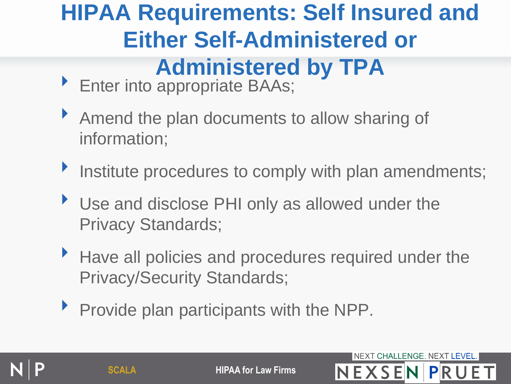#### **HIPAA Requirements: Self Insured and Either Self-Administered or Administered by TPA**

- ▶ Enter into appropriate BAAs;
- ‣ Amend the plan documents to allow sharing of information;
- Institute procedures to comply with plan amendments;
- ‣ Use and disclose PHI only as allowed under the Privacy Standards;
- ‣ Have all policies and procedures required under the Privacy/Security Standards;
- ‣ Provide plan participants with the NPP.

**SCALA HIPAA for Law Firms NEXSEN PRUE**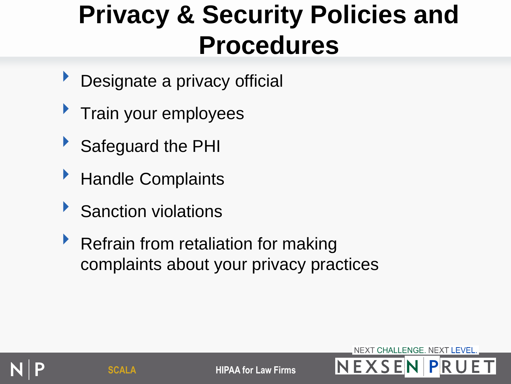## **Privacy & Security Policies and Procedures**

- Designate a privacy official
- ‣ Train your employees
- ‣ Safeguard the PHI
- ▶ Handle Complaints
- **Sanction violations**
- ▶ Refrain from retaliation for making complaints about your privacy practices



**SCALA HIPAA for Law Firms**  $N EXSEIN | P|R U$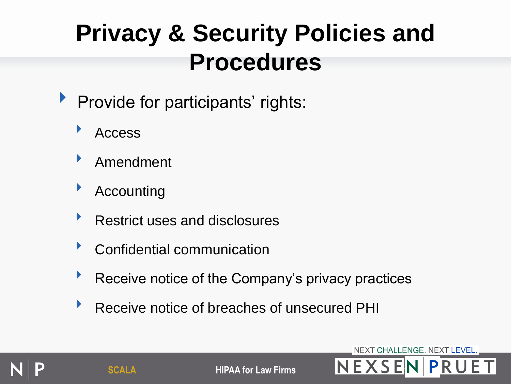### **Privacy & Security Policies and Procedures**

- **Provide for participants' rights:** 
	- ‣ Access
	- ‣ Amendment
	- **Accounting**
	- ▶ Restrict uses and disclosures
	- ‣ Confidential communication
	- **EXECUTE:** Receive notice of the Company's privacy practices
	- ‣ Receive notice of breaches of unsecured PHI



**SCALA HIPAA for Law Firms**  $N$  **E X S EIN I PIR U**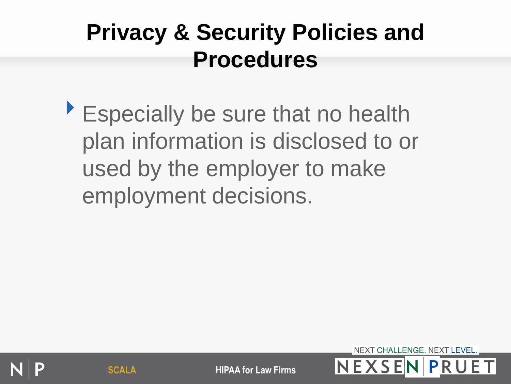#### **Privacy & Security Policies and Procedures**

‣Especially be sure that no health plan information is disclosed to or used by the employer to make employment decisions.



**SCALA HIPAA for Law Firms** NEXSENP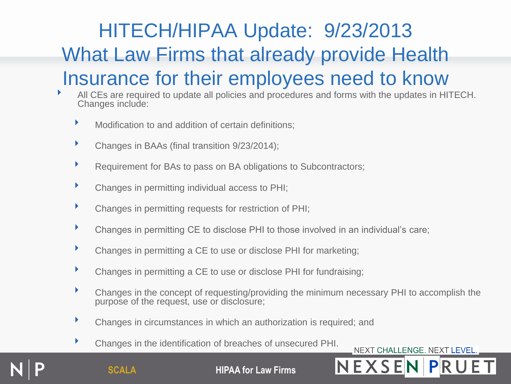#### HITECH/HIPAA Update: 9/23/2013 What Law Firms that already provide Health Insurance for their employees need to know

- All CEs are required to update all policies and procedures and forms with the updates in HITECH. Changes include:
	- Modification to and addition of certain definitions;
	- ‣ Changes in BAAs (final transition 9/23/2014);
	- Requirement for BAs to pass on BA obligations to Subcontractors;
	- ‣ Changes in permitting individual access to PHI;
	- ‣ Changes in permitting requests for restriction of PHI;
	- ‣ Changes in permitting CE to disclose PHI to those involved in an individual's care;
	- ‣ Changes in permitting a CE to use or disclose PHI for marketing;
	- ‣ Changes in permitting a CE to use or disclose PHI for fundraising;
	- ‣ Changes in the concept of requesting/providing the minimum necessary PHI to accomplish the purpose of the request, use or disclosure;
	- ‣ Changes in circumstances in which an authorization is required; and
	- ‣ Changes in the identification of breaches of unsecured PHI.

NEXT CHALLENGE. NEXT LEVEL.

**SCALA HIPAA for Law Firms**  $N E X S E N | P R$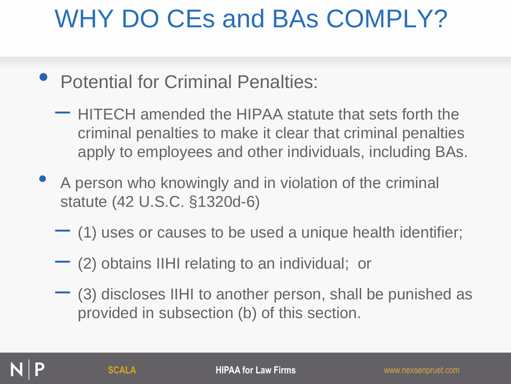## WHY DO CEs and BAs COMPLY?

- Potential for Criminal Penalties:
	- HITECH amended the HIPAA statute that sets forth the criminal penalties to make it clear that criminal penalties apply to employees and other individuals, including BAs.
- A person who knowingly and in violation of the criminal statute (42 U.S.C. §1320d-6)
	- (1) uses or causes to be used a unique health identifier;
	- $-$  (2) obtains IIHI relating to an individual; or
	- (3) discloses IIHI to another person, shall be punished as provided in subsection (b) of this section.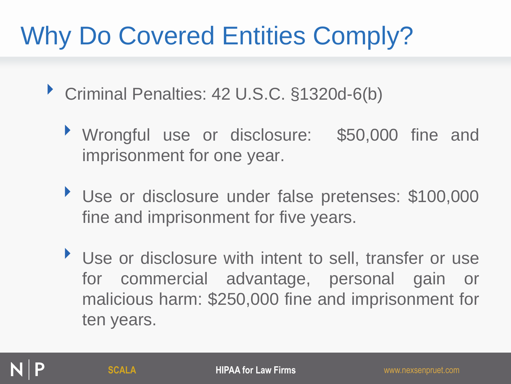## Why Do Covered Entities Comply?

- ‣ Criminal Penalties: <sup>42</sup> U.S.C. §1320d-6(b)
	- ‣ Wrongful use or disclosure: \$50,000 fine and imprisonment for one year.
	- ‣ Use or disclosure under false pretenses: \$100,000 fine and imprisonment for five years.
	- ‣ Use or disclosure with intent to sell, transfer or use for commercial advantage, personal gain or malicious harm: \$250,000 fine and imprisonment for ten years.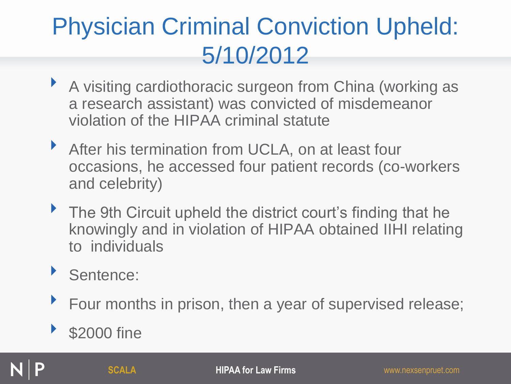#### Physician Criminal Conviction Upheld: 5/10/2012

- ‣ A visiting cardiothoracic surgeon from China (working as a research assistant) was convicted of misdemeanor violation of the HIPAA criminal statute
- ‣ After his termination from UCLA, on at least four occasions, he accessed four patient records (co-workers and celebrity)
- ▶ The 9th Circuit upheld the district court's finding that he knowingly and in violation of HIPAA obtained IIHI relating to individuals
- Sentence:
- ▶ Four months in prison, then a year of supervised release;

#### \$2000 fine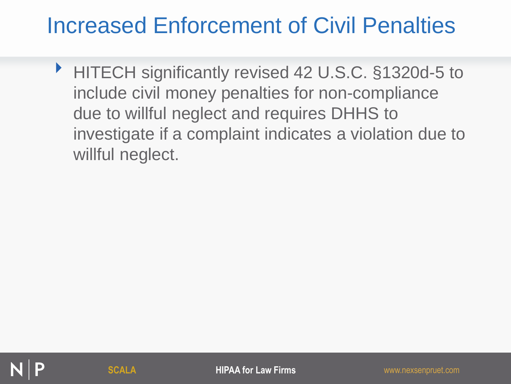#### Increased Enforcement of Civil Penalties

‣ HITECH significantly revised 42 U.S.C. §1320d-5 to include civil money penalties for non-compliance due to willful neglect and requires DHHS to investigate if a complaint indicates a violation due to willful neglect.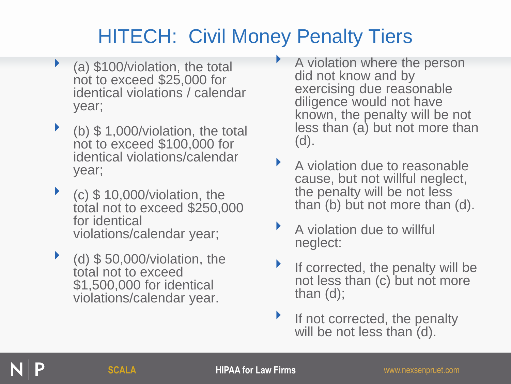#### HITECH: Civil Money Penalty Tiers

- (a) \$100/violation, the total not to exceed \$25,000 for identical violations / calendar year;
- $\triangleright$  (b) \$ 1,000/violation, the total not to exceed \$100,000 for identical violations/calendar year;
- $\bullet$  (c) \$ 10,000/violation, the total not to exceed \$250,000 for identical violations/calendar year;
- ‣ (d) \$ 50,000/violation, the total not to exceed \$1,500,000 for identical violations/calendar year.
- ‣ A violation where the person did not know and by exercising due reasonable diligence would not have known, the penalty will be not less than (a) but not more than (d).
- ‣ A violation due to reasonable cause, but not willful neglect, the penalty will be not less than (b) but not more than (d).
- ‣ A violation due to willful neglect:
- If corrected, the penalty will be not less than (c) but not more than (d);
- If not corrected, the penalty will be not less than (d).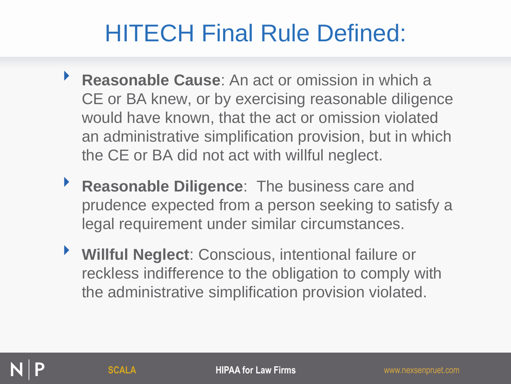#### HITECH Final Rule Defined:

- ‣ **Reasonable Cause**: An act or omission in which a CE or BA knew, or by exercising reasonable diligence would have known, that the act or omission violated an administrative simplification provision, but in which the CE or BA did not act with willful neglect.
- ‣ **Reasonable Diligence**: The business care and prudence expected from a person seeking to satisfy a legal requirement under similar circumstances.
- ‣ **Willful Neglect**: Conscious, intentional failure or reckless indifference to the obligation to comply with the administrative simplification provision violated.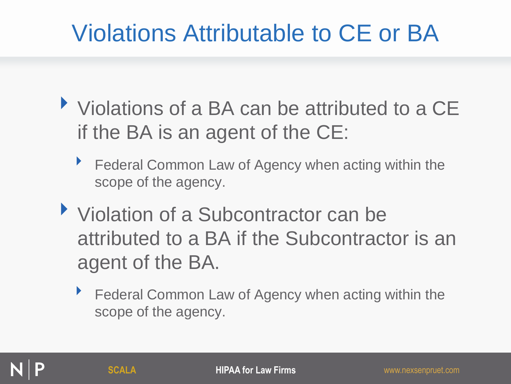#### Violations Attributable to CE or BA

- ‣ Violations of a BA can be attributed to a CE if the BA is an agent of the CE:
	- **Federal Common Law of Agency when acting within the** scope of the agency.
- ‣ Violation of a Subcontractor can be attributed to a BA if the Subcontractor is an agent of the BA.
	- ▶ Federal Common Law of Agency when acting within the scope of the agency.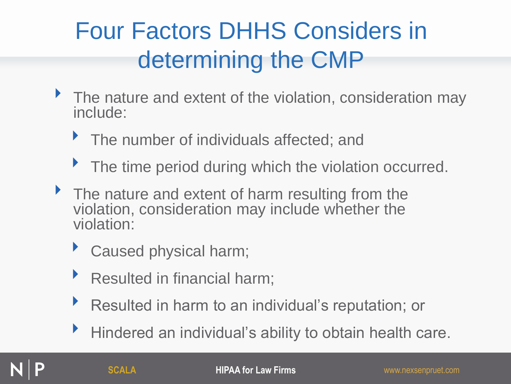### Four Factors DHHS Considers in determining the CMP

- The nature and extent of the violation, consideration may include:
	- **The number of individuals affected; and**
	- ▶ The time period during which the violation occurred.
- If The nature and extent of harm resulting from the violation, consideration may include whether the violation:
	- ‣ Caused physical harm;
	- ▶ Resulted in financial harm;
	- ‣ Resulted in harm to an individual's reputation; or
	- ‣ Hindered an individual's ability to obtain health care.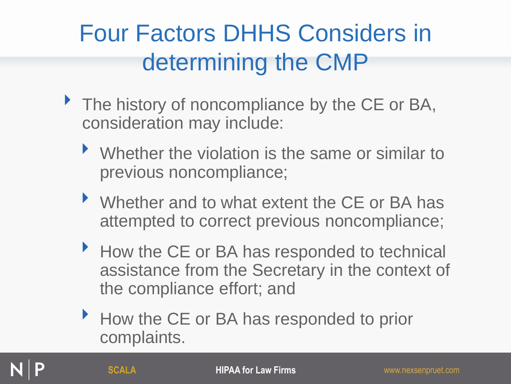### Four Factors DHHS Considers in determining the CMP

- ▶ The history of noncompliance by the CE or BA, consideration may include:
	- ‣ Whether the violation is the same or similar to previous noncompliance;
	- ▶ Whether and to what extent the CE or BA has attempted to correct previous noncompliance;
	- ‣ How the CE or BA has responded to technical assistance from the Secretary in the context of the compliance effort; and
	- ‣ How the CE or BA has responded to prior complaints.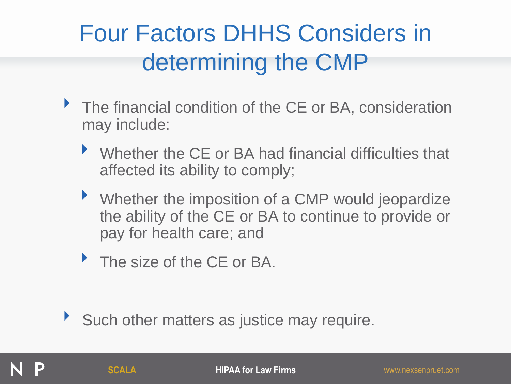### Four Factors DHHS Considers in determining the CMP

- ▶ The financial condition of the CE or BA, consideration may include:
	- ‣ Whether the CE or BA had financial difficulties that affected its ability to comply;
	- ‣ Whether the imposition of a CMP would jeopardize the ability of the CE or BA to continue to provide or pay for health care; and
	- The size of the CE or BA.

Such other matters as justice may require.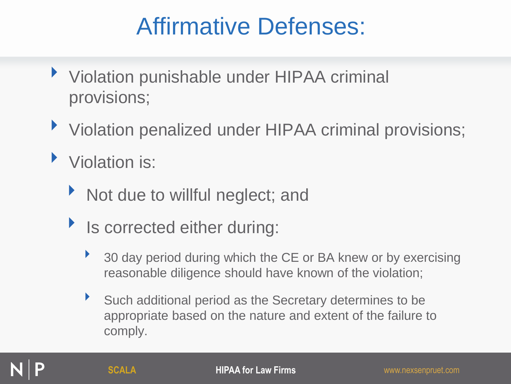#### Affirmative Defenses:

- ▶ Violation punishable under HIPAA criminal provisions;
- ▶ Violation penalized under HIPAA criminal provisions;
- ‣ Violation is:
	- If Not due to willful neglect; and
	- Is corrected either during:
		- <sup>3</sup> 30 day period during which the CE or BA knew or by exercising reasonable diligence should have known of the violation;
		- ‣ Such additional period as the Secretary determines to be appropriate based on the nature and extent of the failure to comply.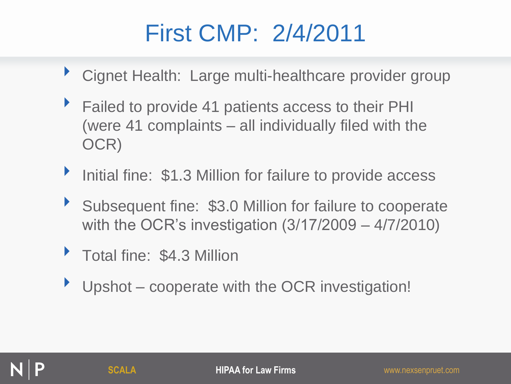#### First CMP: 2/4/2011

- ▶ Cignet Health: Large multi-healthcare provider group
- ▶ Failed to provide 41 patients access to their PHI (were 41 complaints – all individually filed with the OCR)
- Initial fine: \$1.3 Million for failure to provide access
- Subsequent fine: \$3.0 Million for failure to cooperate with the OCR's investigation (3/17/2009 – 4/7/2010)
- **Total fine: \$4.3 Million**
- Upshot cooperate with the OCR investigation!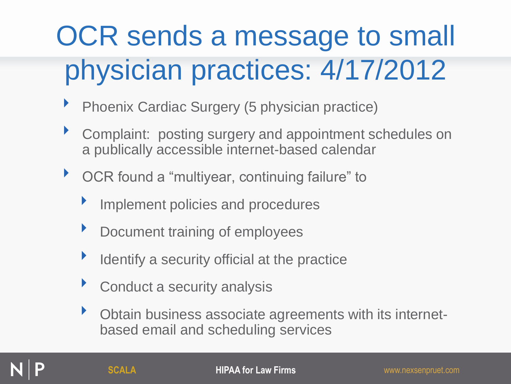# OCR sends a message to small physician practices: 4/17/2012

- **Phoenix Cardiac Surgery (5 physician practice)**
- ‣ Complaint: posting surgery and appointment schedules on a publically accessible internet-based calendar
- ‣ OCR found a "multiyear, continuing failure" to
	- Implement policies and procedures
	- ‣ Document training of employees
	- Identify a security official at the practice
	- Conduct a security analysis
	- ‣ Obtain business associate agreements with its internetbased email and scheduling services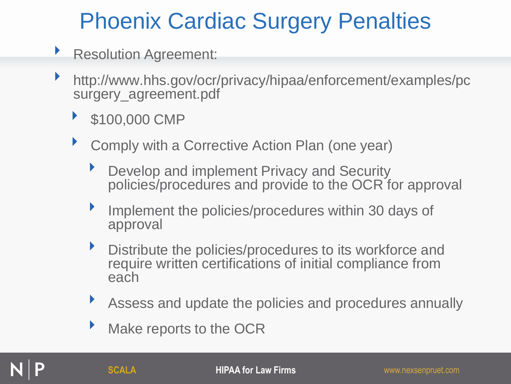### Phoenix Cardiac Surgery Penalties

- **Resolution Agreement:**
- ‣ http://www.hhs.gov/ocr/privacy/hipaa/enforcement/examples/pc surgery\_agreement.pdf
	- \$100,000 CMP
	- ‣ Comply with a Corrective Action Plan (one year)
		- **Develop and implement Privacy and Security** policies/procedures and provide to the OCR for approval
		- **Implement the policies/procedures within 30 days of** approval
		- **•** Distribute the policies/procedures to its workforce and require written certifications of initial compliance from each
		- ‣ Assess and update the policies and procedures annually
		- **Make reports to the OCR**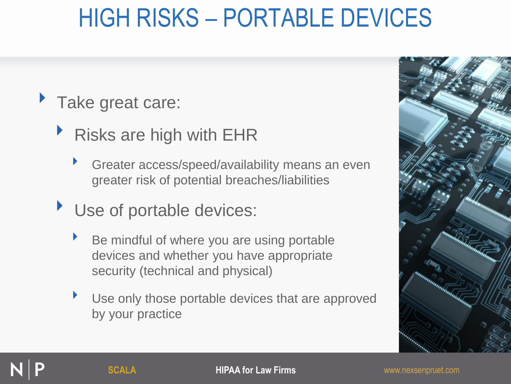## HIGH RISKS – PORTABLE DEVICES

#### Take great care:

- ‣ Risks are high with EHR
	- ‣ Greater access/speed/availability means an even greater risk of potential breaches/liabilities
- ▶ Use of portable devices:
	- ‣ Be mindful of where you are using portable devices and whether you have appropriate security (technical and physical)
	- Use only those portable devices that are approved by your practice

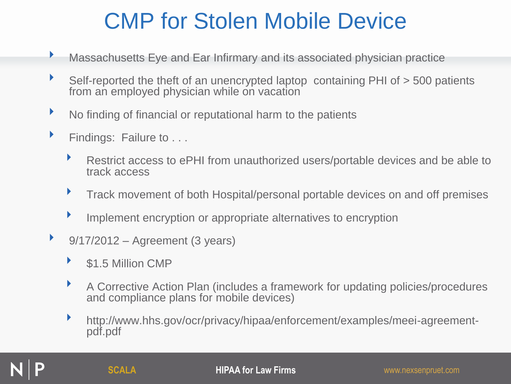#### CMP for Stolen Mobile Device

- **Massachusetts Eye and Ear Infirmary and its associated physician practice**
- ‣ Self-reported the theft of an unencrypted laptop containing PHI of > 500 patients from an employed physician while on vacation
- No finding of financial or reputational harm to the patients
- **Findings: Failure to ...** 
	- ‣ Restrict access to ePHI from unauthorized users/portable devices and be able to track access
	- **Track movement of both Hospital/personal portable devices on and off premises**
	- ‣ Implement encryption or appropriate alternatives to encryption
- $\rightarrow$  9/17/2012 Agreement (3 years)
	- ‣ \$1.5 Million CMP
	- ‣ A Corrective Action Plan (includes a framework for updating policies/procedures and compliance plans for mobile devices)
	- ‣ http://www.hhs.gov/ocr/privacy/hipaa/enforcement/examples/meei-agreementpdf.pdf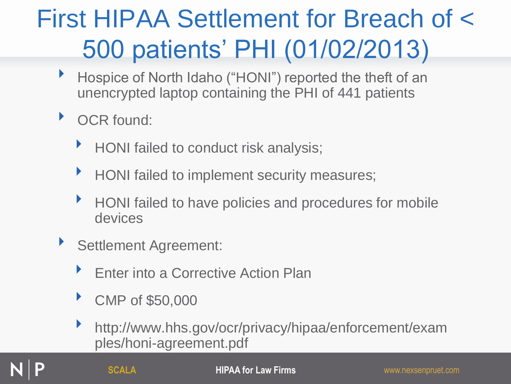# First HIPAA Settlement for Breach of < 500 patients' PHI (01/02/2013)

- **Hospice of North Idaho ("HONI") reported the theft of an** unencrypted laptop containing the PHI of 441 patients
- ▶ OCR found:
	- ▶ HONI failed to conduct risk analysis;
	- **HONI failed to implement security measures;**
	- ‣ HONI failed to have policies and procedures for mobile devices
- ‣ Settlement Agreement:
	- **Enter into a Corrective Action Plan**
	- ‣ CMP of \$50,000
	- ‣ http://www.hhs.gov/ocr/privacy/hipaa/enforcement/exam ples/honi-agreement.pdf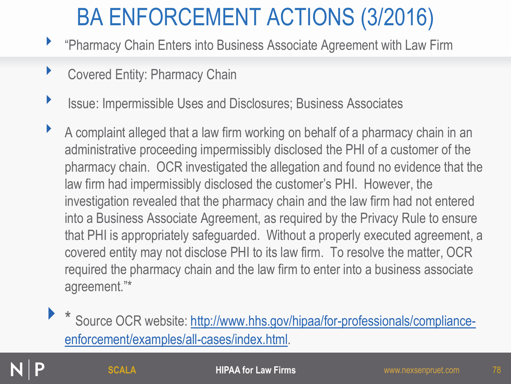### BA ENFORCEMENT ACTIONS (3/2016)

- ‣ "Pharmacy Chain Enters into Business Associate Agreement with Law Firm
- **Covered Entity: Pharmacy Chain**
- **ISSUE: Impermissible Uses and Disclosures; Business Associates**
- ‣ A complaint alleged that a law firm working on behalf of a pharmacy chain in an administrative proceeding impermissibly disclosed the PHI of a customer of the pharmacy chain. OCR investigated the allegation and found no evidence that the law firm had impermissibly disclosed the customer's PHI. However, the investigation revealed that the pharmacy chain and the law firm had not entered into a Business Associate Agreement, as required by the Privacy Rule to ensure that PHI is appropriately safeguarded. Without a properly executed agreement, a covered entity may not disclose PHI to its law firm. To resolve the matter, OCR required the pharmacy chain and the law firm to enter into a business associate agreement."\*

Source OCR website: [http://www.hhs.gov/hipaa/for-professionals/compliance](http://www.hhs.gov/hipaa/for-professionals/compliance-enforcement/examples/all-cases/index.html)[enforcement/examples/all-cases/index.html](http://www.hhs.gov/hipaa/for-professionals/compliance-enforcement/examples/all-cases/index.html).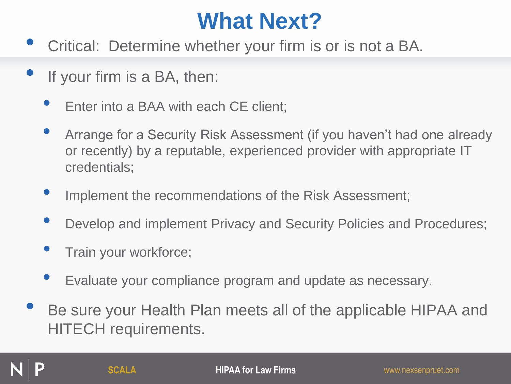#### **What Next?**

- Critical: Determine whether your firm is or is not a BA.
- If your firm is a BA, then:
	- Enter into a BAA with each CE client;
	- Arrange for a Security Risk Assessment (if you haven't had one already or recently) by a reputable, experienced provider with appropriate IT credentials;
	- Implement the recommendations of the Risk Assessment;
	- Develop and implement Privacy and Security Policies and Procedures;
	- Train your workforce;
	- Evaluate your compliance program and update as necessary.
- Be sure your Health Plan meets all of the applicable HIPAA and HITECH requirements.